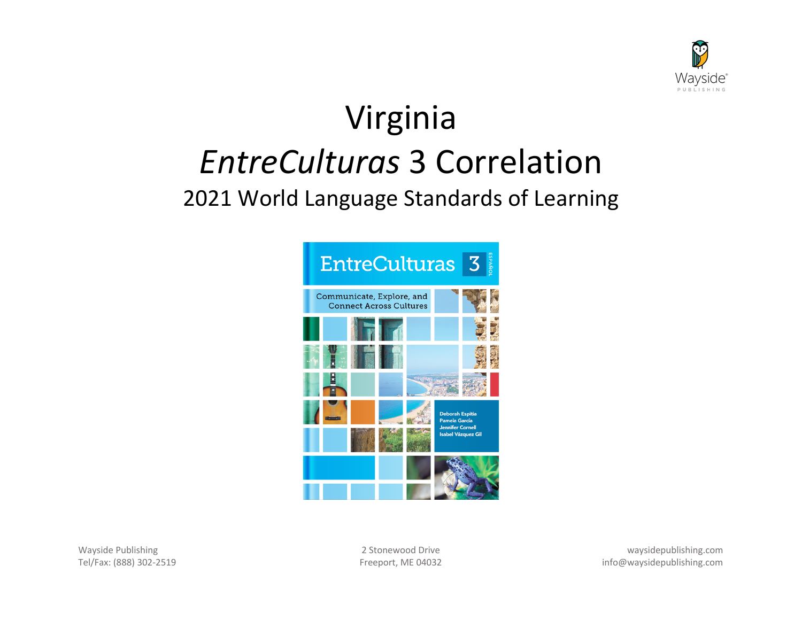

# Virginia *EntreCulturas* 3 Correlation

# 2021 World Language Standards of Learning



Wayside Publishing 2 Stonewood Drive waysidepublishing.com Tel/Fax: (888) 302-2519 Freeport, ME 04032 info@waysidepublishing.com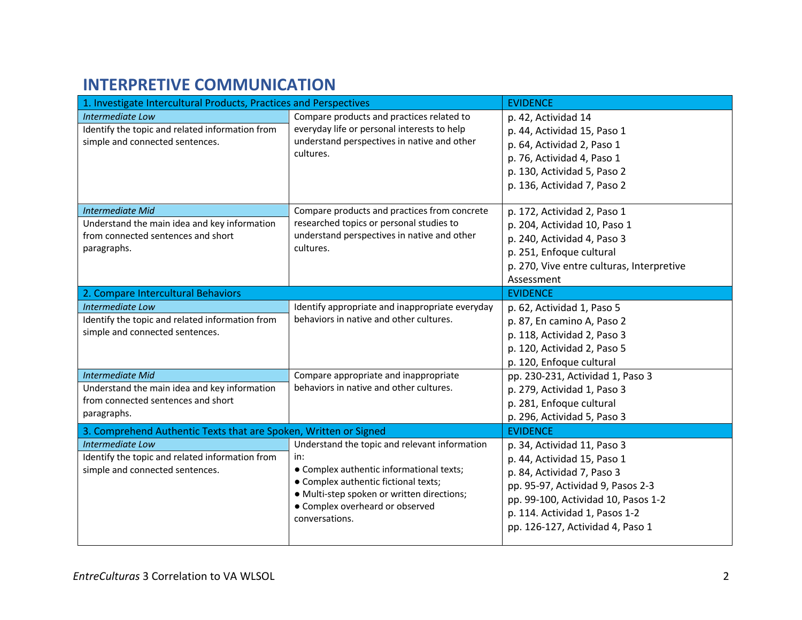## **INTERPRETIVE COMMUNICATION**

| 1. Investigate Intercultural Products, Practices and Perspectives                                                            |                                                                                                                                                                                                                                             | <b>EVIDENCE</b>                                                                                                                                                                                                                            |
|------------------------------------------------------------------------------------------------------------------------------|---------------------------------------------------------------------------------------------------------------------------------------------------------------------------------------------------------------------------------------------|--------------------------------------------------------------------------------------------------------------------------------------------------------------------------------------------------------------------------------------------|
| <b>Intermediate Low</b><br>Identify the topic and related information from<br>simple and connected sentences.                | Compare products and practices related to<br>everyday life or personal interests to help<br>understand perspectives in native and other<br>cultures.                                                                                        | p. 42, Actividad 14<br>p. 44, Actividad 15, Paso 1<br>p. 64, Actividad 2, Paso 1<br>p. 76, Actividad 4, Paso 1<br>p. 130, Actividad 5, Paso 2<br>p. 136, Actividad 7, Paso 2                                                               |
| <b>Intermediate Mid</b><br>Understand the main idea and key information<br>from connected sentences and short<br>paragraphs. | Compare products and practices from concrete<br>researched topics or personal studies to<br>understand perspectives in native and other<br>cultures.                                                                                        | p. 172, Actividad 2, Paso 1<br>p. 204, Actividad 10, Paso 1<br>p. 240, Actividad 4, Paso 3<br>p. 251, Enfoque cultural<br>p. 270, Vive entre culturas, Interpretive<br>Assessment                                                          |
| 2. Compare Intercultural Behaviors                                                                                           |                                                                                                                                                                                                                                             | <b>EVIDENCE</b>                                                                                                                                                                                                                            |
| Intermediate Low<br>Identify the topic and related information from<br>simple and connected sentences.                       | Identify appropriate and inappropriate everyday<br>behaviors in native and other cultures.                                                                                                                                                  | p. 62, Actividad 1, Paso 5<br>p. 87, En camino A, Paso 2<br>p. 118, Actividad 2, Paso 3<br>p. 120, Actividad 2, Paso 5<br>p. 120, Enfoque cultural                                                                                         |
| <b>Intermediate Mid</b><br>Understand the main idea and key information<br>from connected sentences and short<br>paragraphs. | Compare appropriate and inappropriate<br>behaviors in native and other cultures.                                                                                                                                                            | pp. 230-231, Actividad 1, Paso 3<br>p. 279, Actividad 1, Paso 3<br>p. 281, Enfoque cultural<br>p. 296, Actividad 5, Paso 3                                                                                                                 |
| 3. Comprehend Authentic Texts that are Spoken, Written or Signed                                                             |                                                                                                                                                                                                                                             | <b>EVIDENCE</b>                                                                                                                                                                                                                            |
| Intermediate Low<br>Identify the topic and related information from<br>simple and connected sentences.                       | Understand the topic and relevant information<br>in:<br>• Complex authentic informational texts;<br>• Complex authentic fictional texts;<br>· Multi-step spoken or written directions;<br>• Complex overheard or observed<br>conversations. | p. 34, Actividad 11, Paso 3<br>p. 44, Actividad 15, Paso 1<br>p. 84, Actividad 7, Paso 3<br>pp. 95-97, Actividad 9, Pasos 2-3<br>pp. 99-100, Actividad 10, Pasos 1-2<br>p. 114. Actividad 1, Pasos 1-2<br>pp. 126-127, Actividad 4, Paso 1 |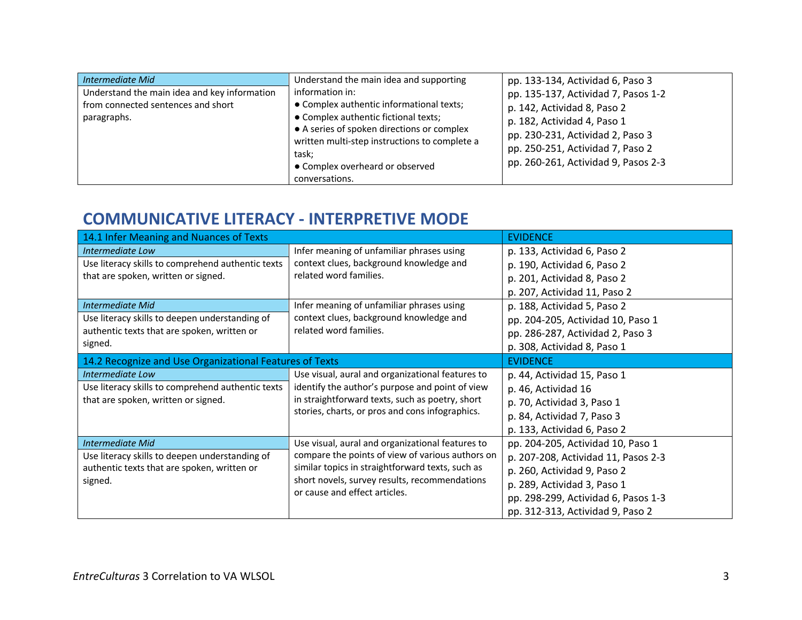| Intermediate Mid<br>Understand the main idea and key information<br>from connected sentences and short<br>paragraphs. | Understand the main idea and supporting<br>information in:<br>• Complex authentic informational texts;<br>• Complex authentic fictional texts;<br>• A series of spoken directions or complex<br>written multi-step instructions to complete a<br>task;<br>• Complex overheard or observed<br>conversations. | pp. 133-134, Actividad 6, Paso 3<br>pp. 135-137, Actividad 7, Pasos 1-2<br>p. 142, Actividad 8, Paso 2<br>p. 182, Actividad 4, Paso 1<br>pp. 230-231, Actividad 2, Paso 3<br>pp. 250-251, Actividad 7, Paso 2<br>pp. 260-261, Actividad 9, Pasos 2-3 |
|-----------------------------------------------------------------------------------------------------------------------|-------------------------------------------------------------------------------------------------------------------------------------------------------------------------------------------------------------------------------------------------------------------------------------------------------------|------------------------------------------------------------------------------------------------------------------------------------------------------------------------------------------------------------------------------------------------------|
|-----------------------------------------------------------------------------------------------------------------------|-------------------------------------------------------------------------------------------------------------------------------------------------------------------------------------------------------------------------------------------------------------------------------------------------------------|------------------------------------------------------------------------------------------------------------------------------------------------------------------------------------------------------------------------------------------------------|

#### **COMMUNICATIVE LITERACY - INTERPRETIVE MODE**

| 14.1 Infer Meaning and Nuances of Texts                 |                                                                                                                                                       | <b>EVIDENCE</b>                     |
|---------------------------------------------------------|-------------------------------------------------------------------------------------------------------------------------------------------------------|-------------------------------------|
| Intermediate Low                                        | Infer meaning of unfamiliar phrases using                                                                                                             | p. 133, Actividad 6, Paso 2         |
| Use literacy skills to comprehend authentic texts       | context clues, background knowledge and                                                                                                               | p. 190, Actividad 6, Paso 2         |
| that are spoken, written or signed.                     | related word families.                                                                                                                                | p. 201, Actividad 8, Paso 2         |
|                                                         |                                                                                                                                                       | p. 207, Actividad 11, Paso 2        |
| <b>Intermediate Mid</b>                                 | Infer meaning of unfamiliar phrases using                                                                                                             | p. 188, Actividad 5, Paso 2         |
| Use literacy skills to deepen understanding of          | context clues, background knowledge and                                                                                                               | pp. 204-205, Actividad 10, Paso 1   |
| authentic texts that are spoken, written or             | related word families.                                                                                                                                | pp. 286-287, Actividad 2, Paso 3    |
| signed.                                                 |                                                                                                                                                       | p. 308, Actividad 8, Paso 1         |
| 14.2 Recognize and Use Organizational Features of Texts |                                                                                                                                                       | <b>EVIDENCE</b>                     |
| Intermediate Low                                        | Use visual, aural and organizational features to                                                                                                      | p. 44, Actividad 15, Paso 1         |
| Use literacy skills to comprehend authentic texts       | identify the author's purpose and point of view                                                                                                       | p. 46, Actividad 16                 |
| that are spoken, written or signed.                     | in straightforward texts, such as poetry, short                                                                                                       | p. 70, Actividad 3, Paso 1          |
|                                                         | stories, charts, or pros and cons infographics.                                                                                                       | p. 84, Actividad 7, Paso 3          |
|                                                         |                                                                                                                                                       | p. 133, Actividad 6, Paso 2         |
| <b>Intermediate Mid</b>                                 | Use visual, aural and organizational features to                                                                                                      | pp. 204-205, Actividad 10, Paso 1   |
| Use literacy skills to deepen understanding of          | compare the points of view of various authors on<br>similar topics in straightforward texts, such as<br>short novels, survey results, recommendations | p. 207-208, Actividad 11, Pasos 2-3 |
| authentic texts that are spoken, written or             |                                                                                                                                                       | p. 260, Actividad 9, Paso 2         |
| signed.                                                 |                                                                                                                                                       | p. 289, Actividad 3, Paso 1         |
|                                                         | or cause and effect articles.                                                                                                                         | pp. 298-299, Actividad 6, Pasos 1-3 |
|                                                         |                                                                                                                                                       | pp. 312-313, Actividad 9, Paso 2    |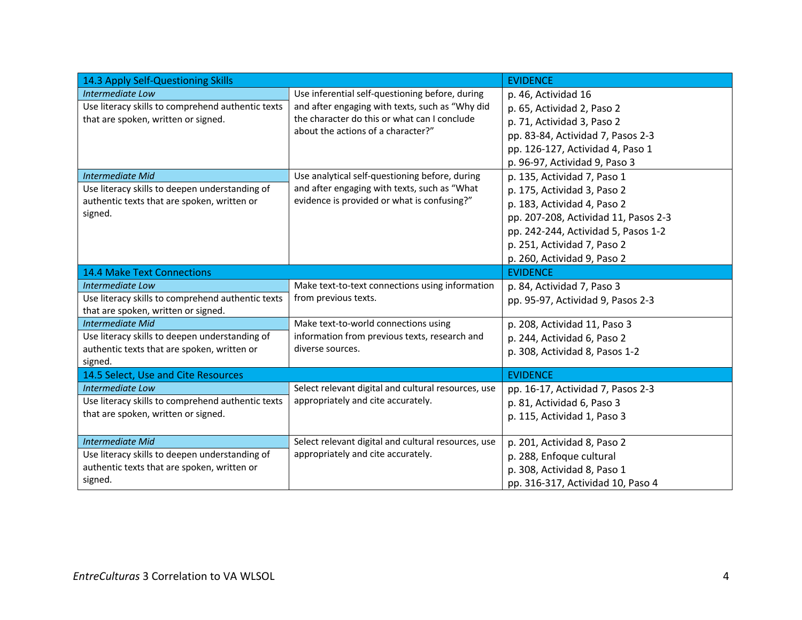| 14.3 Apply Self-Questioning Skills                |                                                     | <b>EVIDENCE</b>                      |
|---------------------------------------------------|-----------------------------------------------------|--------------------------------------|
| Intermediate Low                                  | Use inferential self-questioning before, during     | p. 46, Actividad 16                  |
| Use literacy skills to comprehend authentic texts | and after engaging with texts, such as "Why did     | p. 65, Actividad 2, Paso 2           |
| that are spoken, written or signed.               | the character do this or what can I conclude        | p. 71, Actividad 3, Paso 2           |
|                                                   | about the actions of a character?"                  | pp. 83-84, Actividad 7, Pasos 2-3    |
|                                                   |                                                     | pp. 126-127, Actividad 4, Paso 1     |
|                                                   |                                                     | p. 96-97, Actividad 9, Paso 3        |
| <b>Intermediate Mid</b>                           | Use analytical self-questioning before, during      | p. 135, Actividad 7, Paso 1          |
| Use literacy skills to deepen understanding of    | and after engaging with texts, such as "What        | p. 175, Actividad 3, Paso 2          |
| authentic texts that are spoken, written or       | evidence is provided or what is confusing?"         | p. 183, Actividad 4, Paso 2          |
| signed.                                           |                                                     | pp. 207-208, Actividad 11, Pasos 2-3 |
|                                                   |                                                     | pp. 242-244, Actividad 5, Pasos 1-2  |
|                                                   |                                                     | p. 251, Actividad 7, Paso 2          |
|                                                   |                                                     | p. 260, Actividad 9, Paso 2          |
| <b>14.4 Make Text Connections</b>                 |                                                     | <b>EVIDENCE</b>                      |
| Intermediate Low                                  | Make text-to-text connections using information     | p. 84, Actividad 7, Paso 3           |
| Use literacy skills to comprehend authentic texts | from previous texts.                                | pp. 95-97, Actividad 9, Pasos 2-3    |
| that are spoken, written or signed.               |                                                     |                                      |
| <b>Intermediate Mid</b>                           | Make text-to-world connections using                | p. 208, Actividad 11, Paso 3         |
| Use literacy skills to deepen understanding of    | information from previous texts, research and       | p. 244, Actividad 6, Paso 2          |
| authentic texts that are spoken, written or       | diverse sources.                                    | p. 308, Actividad 8, Pasos 1-2       |
| signed.<br>14.5 Select, Use and Cite Resources    |                                                     | <b>EVIDENCE</b>                      |
| Intermediate Low                                  | Select relevant digital and cultural resources, use | pp. 16-17, Actividad 7, Pasos 2-3    |
| Use literacy skills to comprehend authentic texts | appropriately and cite accurately.                  | p. 81, Actividad 6, Paso 3           |
| that are spoken, written or signed.               |                                                     | p. 115, Actividad 1, Paso 3          |
|                                                   |                                                     |                                      |
| <b>Intermediate Mid</b>                           | Select relevant digital and cultural resources, use | p. 201, Actividad 8, Paso 2          |
| Use literacy skills to deepen understanding of    | appropriately and cite accurately.                  | p. 288, Enfoque cultural             |
| authentic texts that are spoken, written or       |                                                     | p. 308, Actividad 8, Paso 1          |
| signed.                                           |                                                     | pp. 316-317, Actividad 10, Paso 4    |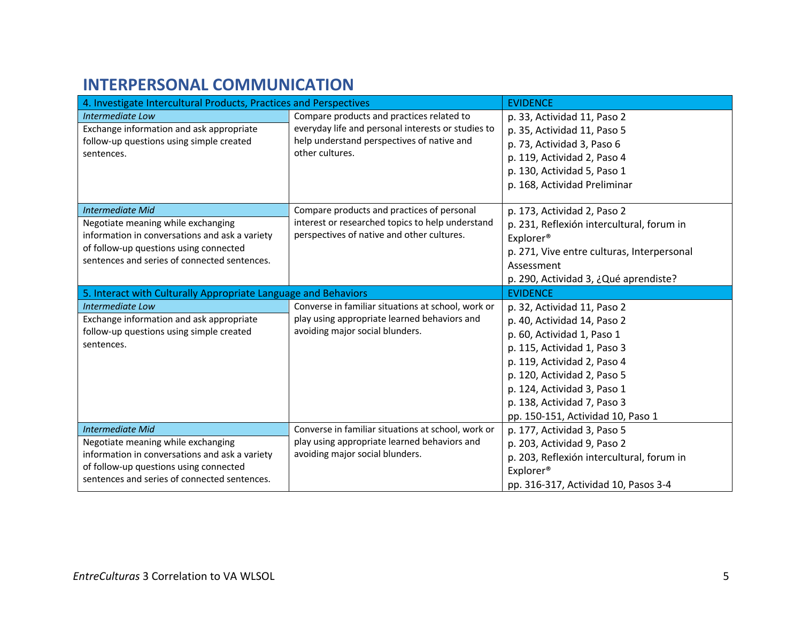### **INTERPERSONAL COMMUNICATION**

| 4. Investigate Intercultural Products, Practices and Perspectives                                                                                                                                         |                                                                                                                                                                  | <b>EVIDENCE</b>                                                                                                                                                                                                                                                                          |
|-----------------------------------------------------------------------------------------------------------------------------------------------------------------------------------------------------------|------------------------------------------------------------------------------------------------------------------------------------------------------------------|------------------------------------------------------------------------------------------------------------------------------------------------------------------------------------------------------------------------------------------------------------------------------------------|
| Intermediate Low<br>Exchange information and ask appropriate<br>follow-up questions using simple created<br>sentences.                                                                                    | Compare products and practices related to<br>everyday life and personal interests or studies to<br>help understand perspectives of native and<br>other cultures. | p. 33, Actividad 11, Paso 2<br>p. 35, Actividad 11, Paso 5<br>p. 73, Actividad 3, Paso 6<br>p. 119, Actividad 2, Paso 4<br>p. 130, Actividad 5, Paso 1<br>p. 168, Actividad Preliminar                                                                                                   |
| <b>Intermediate Mid</b><br>Negotiate meaning while exchanging<br>information in conversations and ask a variety<br>of follow-up questions using connected<br>sentences and series of connected sentences. | Compare products and practices of personal<br>interest or researched topics to help understand<br>perspectives of native and other cultures.                     | p. 173, Actividad 2, Paso 2<br>p. 231, Reflexión intercultural, forum in<br>Explorer <sup>®</sup><br>p. 271, Vive entre culturas, Interpersonal<br>Assessment<br>p. 290, Actividad 3, ¿Qué aprendiste?                                                                                   |
| 5. Interact with Culturally Appropriate Language and Behaviors                                                                                                                                            |                                                                                                                                                                  | <b>EVIDENCE</b>                                                                                                                                                                                                                                                                          |
| Intermediate Low<br>Exchange information and ask appropriate<br>follow-up questions using simple created<br>sentences.                                                                                    | Converse in familiar situations at school, work or<br>play using appropriate learned behaviors and<br>avoiding major social blunders.                            | p. 32, Actividad 11, Paso 2<br>p. 40, Actividad 14, Paso 2<br>p. 60, Actividad 1, Paso 1<br>p. 115, Actividad 1, Paso 3<br>p. 119, Actividad 2, Paso 4<br>p. 120, Actividad 2, Paso 5<br>p. 124, Actividad 3, Paso 1<br>p. 138, Actividad 7, Paso 3<br>pp. 150-151, Actividad 10, Paso 1 |
| <b>Intermediate Mid</b><br>Negotiate meaning while exchanging<br>information in conversations and ask a variety<br>of follow-up questions using connected<br>sentences and series of connected sentences. | Converse in familiar situations at school, work or<br>play using appropriate learned behaviors and<br>avoiding major social blunders.                            | p. 177, Actividad 3, Paso 5<br>p. 203, Actividad 9, Paso 2<br>p. 203, Reflexión intercultural, forum in<br>Explorer <sup>®</sup><br>pp. 316-317, Actividad 10, Pasos 3-4                                                                                                                 |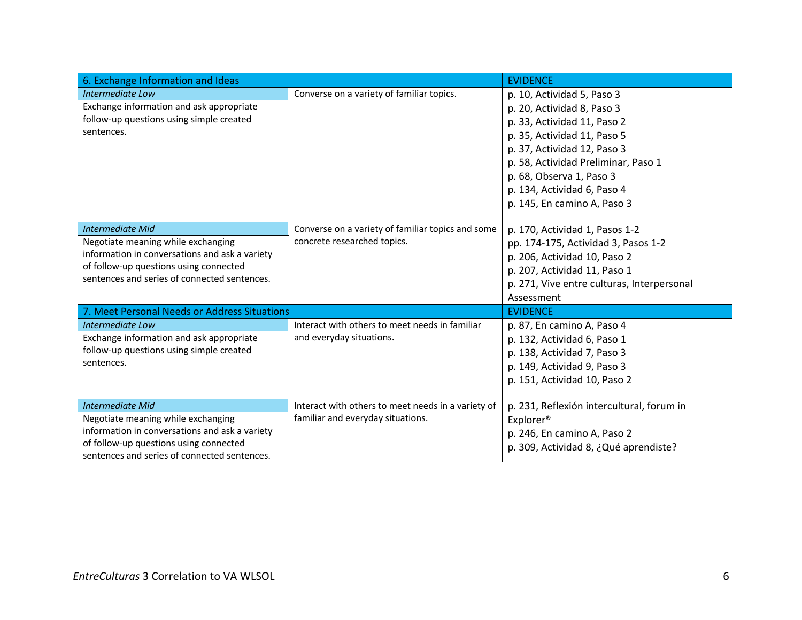| 6. Exchange Information and Ideas                            |                                                    | <b>EVIDENCE</b>                            |
|--------------------------------------------------------------|----------------------------------------------------|--------------------------------------------|
| Intermediate Low<br>Exchange information and ask appropriate | Converse on a variety of familiar topics.          | p. 10, Actividad 5, Paso 3                 |
| follow-up questions using simple created                     |                                                    | p. 20, Actividad 8, Paso 3                 |
| sentences.                                                   |                                                    | p. 33, Actividad 11, Paso 2                |
|                                                              |                                                    | p. 35, Actividad 11, Paso 5                |
|                                                              |                                                    | p. 37, Actividad 12, Paso 3                |
|                                                              |                                                    | p. 58, Actividad Preliminar, Paso 1        |
|                                                              |                                                    | p. 68, Observa 1, Paso 3                   |
|                                                              |                                                    | p. 134, Actividad 6, Paso 4                |
|                                                              |                                                    | p. 145, En camino A, Paso 3                |
| <b>Intermediate Mid</b>                                      | Converse on a variety of familiar topics and some  | p. 170, Actividad 1, Pasos 1-2             |
| Negotiate meaning while exchanging                           | concrete researched topics.                        | pp. 174-175, Actividad 3, Pasos 1-2        |
| information in conversations and ask a variety               |                                                    | p. 206, Actividad 10, Paso 2               |
| of follow-up questions using connected                       |                                                    | p. 207, Actividad 11, Paso 1               |
| sentences and series of connected sentences.                 |                                                    | p. 271, Vive entre culturas, Interpersonal |
|                                                              |                                                    | Assessment                                 |
| 7. Meet Personal Needs or Address Situations                 |                                                    | <b>EVIDENCE</b>                            |
| <b>Intermediate Low</b>                                      | Interact with others to meet needs in familiar     | p. 87, En camino A, Paso 4                 |
| Exchange information and ask appropriate                     | and everyday situations.                           | p. 132, Actividad 6, Paso 1                |
| follow-up questions using simple created                     |                                                    | p. 138, Actividad 7, Paso 3                |
| sentences.                                                   |                                                    | p. 149, Actividad 9, Paso 3                |
|                                                              |                                                    | p. 151, Actividad 10, Paso 2               |
| <b>Intermediate Mid</b>                                      | Interact with others to meet needs in a variety of | p. 231, Reflexión intercultural, forum in  |
| Negotiate meaning while exchanging                           | familiar and everyday situations.                  | Explorer <sup>®</sup>                      |
| information in conversations and ask a variety               |                                                    | p. 246, En camino A, Paso 2                |
| of follow-up questions using connected                       |                                                    | p. 309, Actividad 8, ¿Qué aprendiste?      |
| sentences and series of connected sentences.                 |                                                    |                                            |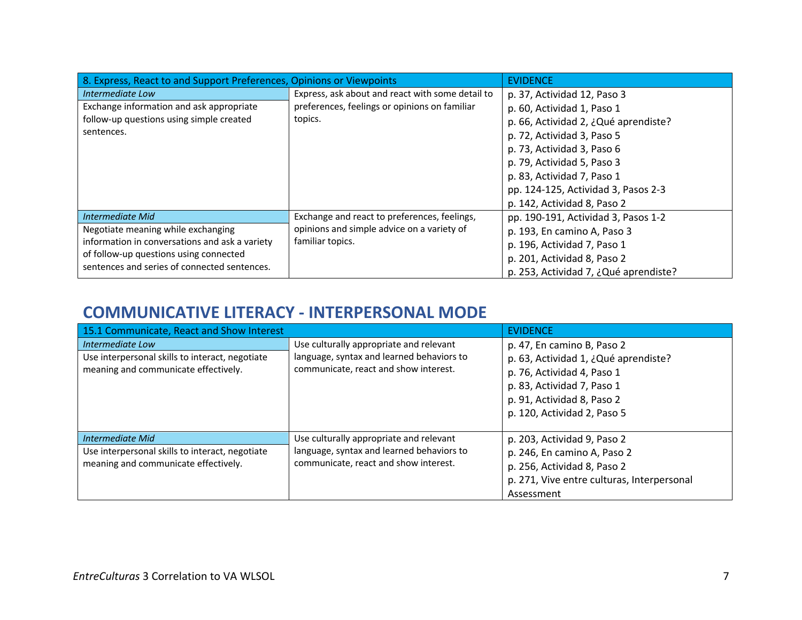| 8. Express, React to and Support Preferences, Opinions or Viewpoints |                                                  | <b>EVIDENCE</b>                       |
|----------------------------------------------------------------------|--------------------------------------------------|---------------------------------------|
| Intermediate Low                                                     | Express, ask about and react with some detail to | p. 37, Actividad 12, Paso 3           |
| Exchange information and ask appropriate                             | preferences, feelings or opinions on familiar    | p. 60, Actividad 1, Paso 1            |
| follow-up questions using simple created                             | topics.                                          | p. 66, Actividad 2, ¿Qué aprendiste?  |
| sentences.                                                           |                                                  | p. 72, Actividad 3, Paso 5            |
|                                                                      |                                                  | p. 73, Actividad 3, Paso 6            |
|                                                                      |                                                  | p. 79, Actividad 5, Paso 3            |
|                                                                      |                                                  | p. 83, Actividad 7, Paso 1            |
|                                                                      |                                                  | pp. 124-125, Actividad 3, Pasos 2-3   |
|                                                                      |                                                  | p. 142, Actividad 8, Paso 2           |
| Intermediate Mid                                                     | Exchange and react to preferences, feelings,     | pp. 190-191, Actividad 3, Pasos 1-2   |
| Negotiate meaning while exchanging                                   | opinions and simple advice on a variety of       | p. 193, En camino A, Paso 3           |
| information in conversations and ask a variety                       | familiar topics.                                 | p. 196, Actividad 7, Paso 1           |
| of follow-up questions using connected                               |                                                  | p. 201, Actividad 8, Paso 2           |
| sentences and series of connected sentences.                         |                                                  | p. 253, Actividad 7, ¿Qué aprendiste? |

#### **COMMUNICATIVE LITERACY - INTERPERSONAL MODE**

| 15.1 Communicate, React and Show Interest                                                                   |                                                                                                                               | <b>EVIDENCE</b>                                                                                                                                                                             |
|-------------------------------------------------------------------------------------------------------------|-------------------------------------------------------------------------------------------------------------------------------|---------------------------------------------------------------------------------------------------------------------------------------------------------------------------------------------|
| Intermediate Low<br>Use interpersonal skills to interact, negotiate<br>meaning and communicate effectively. | Use culturally appropriate and relevant<br>language, syntax and learned behaviors to<br>communicate, react and show interest. | p. 47, En camino B, Paso 2<br>p. 63, Actividad 1, ¿Qué aprendiste?<br>p. 76, Actividad 4, Paso 1<br>p. 83, Actividad 7, Paso 1<br>p. 91, Actividad 8, Paso 2<br>p. 120, Actividad 2, Paso 5 |
| Intermediate Mid<br>Use interpersonal skills to interact, negotiate<br>meaning and communicate effectively. | Use culturally appropriate and relevant<br>language, syntax and learned behaviors to<br>communicate, react and show interest. | p. 203, Actividad 9, Paso 2<br>p. 246, En camino A, Paso 2<br>p. 256, Actividad 8, Paso 2<br>p. 271, Vive entre culturas, Interpersonal<br>Assessment                                       |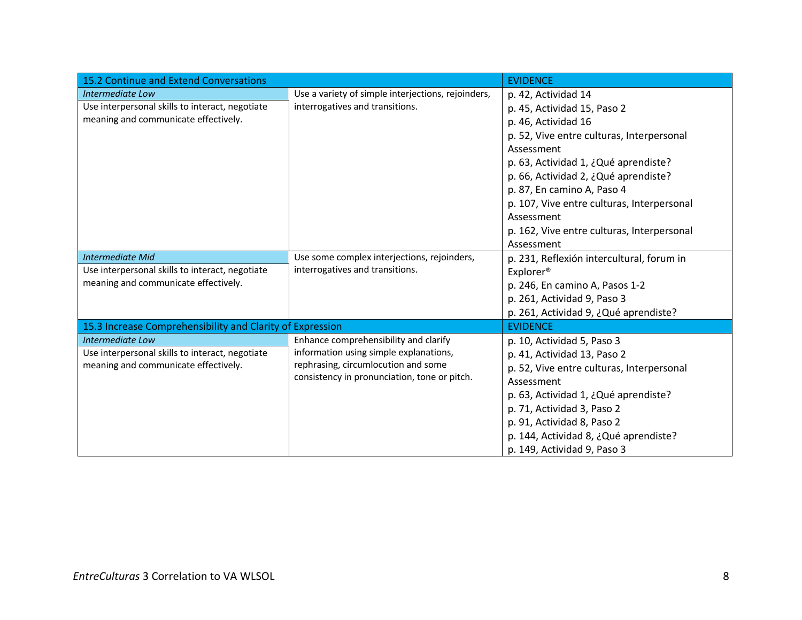| 15.2 Continue and Extend Conversations                    |                                                    | <b>EVIDENCE</b>                            |
|-----------------------------------------------------------|----------------------------------------------------|--------------------------------------------|
| Intermediate Low                                          | Use a variety of simple interjections, rejoinders, | p. 42, Actividad 14                        |
| Use interpersonal skills to interact, negotiate           | interrogatives and transitions.                    | p. 45, Actividad 15, Paso 2                |
| meaning and communicate effectively.                      |                                                    | p. 46, Actividad 16                        |
|                                                           |                                                    | p. 52, Vive entre culturas, Interpersonal  |
|                                                           |                                                    | Assessment                                 |
|                                                           |                                                    | p. 63, Actividad 1, ¿Qué aprendiste?       |
|                                                           |                                                    | p. 66, Actividad 2, ¿Qué aprendiste?       |
|                                                           |                                                    | p. 87, En camino A, Paso 4                 |
|                                                           |                                                    | p. 107, Vive entre culturas, Interpersonal |
|                                                           |                                                    | Assessment                                 |
|                                                           |                                                    | p. 162, Vive entre culturas, Interpersonal |
|                                                           |                                                    | Assessment                                 |
| <b>Intermediate Mid</b>                                   | Use some complex interjections, rejoinders,        | p. 231, Reflexión intercultural, forum in  |
| Use interpersonal skills to interact, negotiate           | interrogatives and transitions.                    | Explorer <sup>®</sup>                      |
| meaning and communicate effectively.                      |                                                    | p. 246, En camino A, Pasos 1-2             |
|                                                           |                                                    | p. 261, Actividad 9, Paso 3                |
|                                                           |                                                    | p. 261, Actividad 9, ¿Qué aprendiste?      |
| 15.3 Increase Comprehensibility and Clarity of Expression |                                                    | <b>EVIDENCE</b>                            |
| Intermediate Low                                          | Enhance comprehensibility and clarify              | p. 10, Actividad 5, Paso 3                 |
| Use interpersonal skills to interact, negotiate           | information using simple explanations,             | p. 41, Actividad 13, Paso 2                |
| meaning and communicate effectively.                      | rephrasing, circumlocution and some                | p. 52, Vive entre culturas, Interpersonal  |
|                                                           | consistency in pronunciation, tone or pitch.       | Assessment                                 |
|                                                           |                                                    | p. 63, Actividad 1, ¿Qué aprendiste?       |
|                                                           |                                                    | p. 71, Actividad 3, Paso 2                 |
|                                                           |                                                    | p. 91, Actividad 8, Paso 2                 |
|                                                           |                                                    | p. 144, Actividad 8, ¿Qué aprendiste?      |
|                                                           |                                                    | p. 149, Actividad 9, Paso 3                |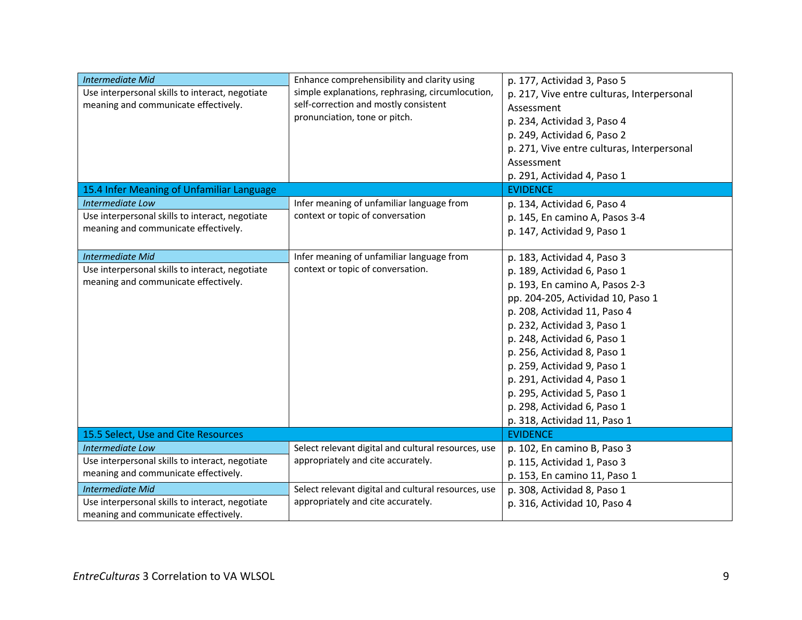| <b>Intermediate Mid</b><br>Use interpersonal skills to interact, negotiate<br>meaning and communicate effectively. | Enhance comprehensibility and clarity using<br>simple explanations, rephrasing, circumlocution,<br>self-correction and mostly consistent<br>pronunciation, tone or pitch. | p. 177, Actividad 3, Paso 5<br>p. 217, Vive entre culturas, Interpersonal<br>Assessment<br>p. 234, Actividad 3, Paso 4<br>p. 249, Actividad 6, Paso 2<br>p. 271, Vive entre culturas, Interpersonal<br>Assessment<br>p. 291, Actividad 4, Paso 1                                                                                                                                                                           |
|--------------------------------------------------------------------------------------------------------------------|---------------------------------------------------------------------------------------------------------------------------------------------------------------------------|----------------------------------------------------------------------------------------------------------------------------------------------------------------------------------------------------------------------------------------------------------------------------------------------------------------------------------------------------------------------------------------------------------------------------|
| 15.4 Infer Meaning of Unfamiliar Language                                                                          |                                                                                                                                                                           | <b>EVIDENCE</b>                                                                                                                                                                                                                                                                                                                                                                                                            |
| Intermediate Low<br>Use interpersonal skills to interact, negotiate<br>meaning and communicate effectively.        | Infer meaning of unfamiliar language from<br>context or topic of conversation                                                                                             | p. 134, Actividad 6, Paso 4<br>p. 145, En camino A, Pasos 3-4<br>p. 147, Actividad 9, Paso 1                                                                                                                                                                                                                                                                                                                               |
| <b>Intermediate Mid</b><br>Use interpersonal skills to interact, negotiate<br>meaning and communicate effectively. | Infer meaning of unfamiliar language from<br>context or topic of conversation.                                                                                            | p. 183, Actividad 4, Paso 3<br>p. 189, Actividad 6, Paso 1<br>p. 193, En camino A, Pasos 2-3<br>pp. 204-205, Actividad 10, Paso 1<br>p. 208, Actividad 11, Paso 4<br>p. 232, Actividad 3, Paso 1<br>p. 248, Actividad 6, Paso 1<br>p. 256, Actividad 8, Paso 1<br>p. 259, Actividad 9, Paso 1<br>p. 291, Actividad 4, Paso 1<br>p. 295, Actividad 5, Paso 1<br>p. 298, Actividad 6, Paso 1<br>p. 318, Actividad 11, Paso 1 |
| 15.5 Select, Use and Cite Resources                                                                                |                                                                                                                                                                           | <b>EVIDENCE</b>                                                                                                                                                                                                                                                                                                                                                                                                            |
| Intermediate Low<br>Use interpersonal skills to interact, negotiate<br>meaning and communicate effectively.        | Select relevant digital and cultural resources, use<br>appropriately and cite accurately.                                                                                 | p. 102, En camino B, Paso 3<br>p. 115, Actividad 1, Paso 3<br>p. 153, En camino 11, Paso 1                                                                                                                                                                                                                                                                                                                                 |
| <b>Intermediate Mid</b><br>Use interpersonal skills to interact, negotiate<br>meaning and communicate effectively. | Select relevant digital and cultural resources, use<br>appropriately and cite accurately.                                                                                 | p. 308, Actividad 8, Paso 1<br>p. 316, Actividad 10, Paso 4                                                                                                                                                                                                                                                                                                                                                                |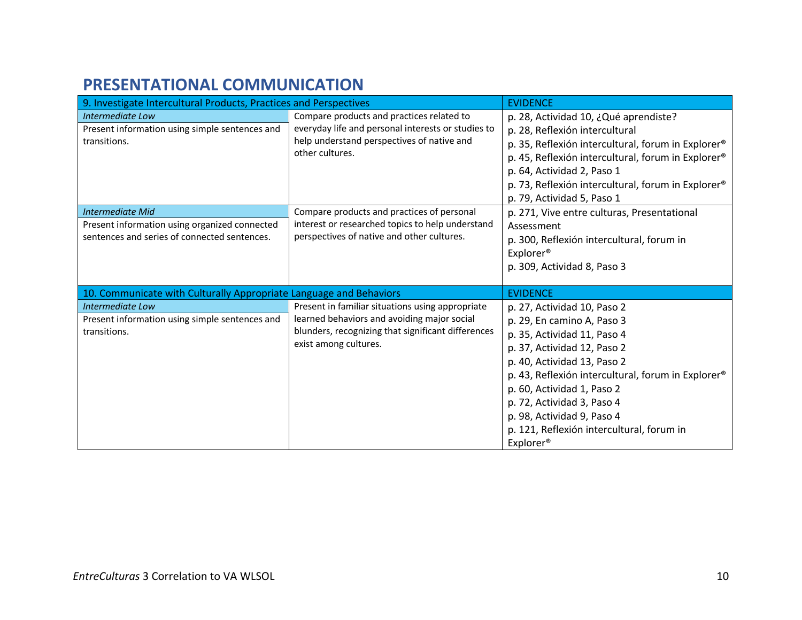#### **PRESENTATIONAL COMMUNICATION**

| 9. Investigate Intercultural Products, Practices and Perspectives                                                        |                                                                                                                                                                                | <b>EVIDENCE</b>                                                                                                                                                                                                                                                                                                                                                              |
|--------------------------------------------------------------------------------------------------------------------------|--------------------------------------------------------------------------------------------------------------------------------------------------------------------------------|------------------------------------------------------------------------------------------------------------------------------------------------------------------------------------------------------------------------------------------------------------------------------------------------------------------------------------------------------------------------------|
| Intermediate Low<br>Present information using simple sentences and<br>transitions.                                       | Compare products and practices related to<br>everyday life and personal interests or studies to<br>help understand perspectives of native and<br>other cultures.               | p. 28, Actividad 10, ¿Qué aprendiste?<br>p. 28, Reflexión intercultural<br>p. 35, Reflexión intercultural, forum in Explorer®<br>p. 45, Reflexión intercultural, forum in Explorer®<br>p. 64, Actividad 2, Paso 1<br>p. 73, Reflexión intercultural, forum in Explorer <sup>®</sup><br>p. 79, Actividad 5, Paso 1                                                            |
| <b>Intermediate Mid</b><br>Present information using organized connected<br>sentences and series of connected sentences. | Compare products and practices of personal<br>interest or researched topics to help understand<br>perspectives of native and other cultures.                                   | p. 271, Vive entre culturas, Presentational<br>Assessment<br>p. 300, Reflexión intercultural, forum in<br>Explorer <sup>®</sup><br>p. 309, Actividad 8, Paso 3                                                                                                                                                                                                               |
| 10. Communicate with Culturally Appropriate Language and Behaviors                                                       |                                                                                                                                                                                | <b>EVIDENCE</b>                                                                                                                                                                                                                                                                                                                                                              |
| Intermediate Low<br>Present information using simple sentences and<br>transitions.                                       | Present in familiar situations using appropriate<br>learned behaviors and avoiding major social<br>blunders, recognizing that significant differences<br>exist among cultures. | p. 27, Actividad 10, Paso 2<br>p. 29, En camino A, Paso 3<br>p. 35, Actividad 11, Paso 4<br>p. 37, Actividad 12, Paso 2<br>p. 40, Actividad 13, Paso 2<br>p. 43, Reflexión intercultural, forum in Explorer®<br>p. 60, Actividad 1, Paso 2<br>p. 72, Actividad 3, Paso 4<br>p. 98, Actividad 9, Paso 4<br>p. 121, Reflexión intercultural, forum in<br>Explorer <sup>®</sup> |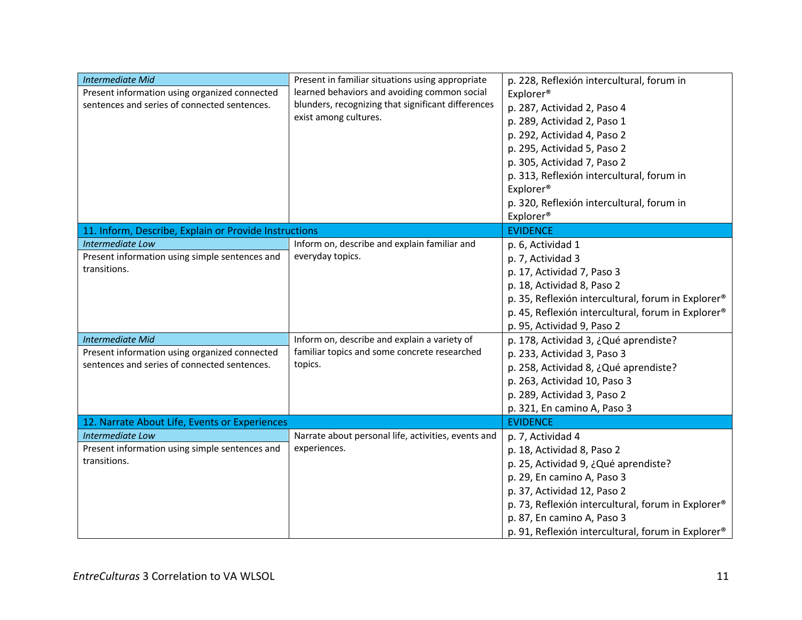| <b>Intermediate Mid</b><br>Present information using organized connected<br>sentences and series of connected sentences.                                                                                       | Present in familiar situations using appropriate<br>learned behaviors and avoiding common social<br>blunders, recognizing that significant differences<br>exist among cultures. | p. 228, Reflexión intercultural, forum in<br>Explorer <sup>®</sup><br>p. 287, Actividad 2, Paso 4<br>p. 289, Actividad 2, Paso 1<br>p. 292, Actividad 4, Paso 2<br>p. 295, Actividad 5, Paso 2<br>p. 305, Actividad 7, Paso 2<br>p. 313, Reflexión intercultural, forum in<br>Explorer <sup>®</sup><br>p. 320, Reflexión intercultural, forum in<br>Explorer <sup>®</sup>                                                                                               |
|----------------------------------------------------------------------------------------------------------------------------------------------------------------------------------------------------------------|---------------------------------------------------------------------------------------------------------------------------------------------------------------------------------|-------------------------------------------------------------------------------------------------------------------------------------------------------------------------------------------------------------------------------------------------------------------------------------------------------------------------------------------------------------------------------------------------------------------------------------------------------------------------|
| 11. Inform, Describe, Explain or Provide Instructions                                                                                                                                                          |                                                                                                                                                                                 | <b>EVIDENCE</b>                                                                                                                                                                                                                                                                                                                                                                                                                                                         |
| Intermediate Low<br>Present information using simple sentences and<br>transitions.<br><b>Intermediate Mid</b><br>Present information using organized connected<br>sentences and series of connected sentences. | Inform on, describe and explain familiar and<br>everyday topics.<br>Inform on, describe and explain a variety of<br>familiar topics and some concrete researched<br>topics.     | p. 6, Actividad 1<br>p. 7, Actividad 3<br>p. 17, Actividad 7, Paso 3<br>p. 18, Actividad 8, Paso 2<br>p. 35, Reflexión intercultural, forum in Explorer <sup>®</sup><br>p. 45, Reflexión intercultural, forum in Explorer®<br>p. 95, Actividad 9, Paso 2<br>p. 178, Actividad 3, ¿Qué aprendiste?<br>p. 233, Actividad 3, Paso 3<br>p. 258, Actividad 8, ¿Qué aprendiste?<br>p. 263, Actividad 10, Paso 3<br>p. 289, Actividad 3, Paso 2<br>p. 321, En camino A, Paso 3 |
| 12. Narrate About Life, Events or Experiences                                                                                                                                                                  |                                                                                                                                                                                 | <b>EVIDENCE</b>                                                                                                                                                                                                                                                                                                                                                                                                                                                         |
| <b>Intermediate Low</b><br>Present information using simple sentences and<br>transitions.                                                                                                                      | Narrate about personal life, activities, events and<br>experiences.                                                                                                             | p. 7, Actividad 4<br>p. 18, Actividad 8, Paso 2<br>p. 25, Actividad 9, ¿Qué aprendiste?<br>p. 29, En camino A, Paso 3<br>p. 37, Actividad 12, Paso 2<br>p. 73, Reflexión intercultural, forum in Explorer®<br>p. 87, En camino A, Paso 3<br>p. 91, Reflexión intercultural, forum in Explorer®                                                                                                                                                                          |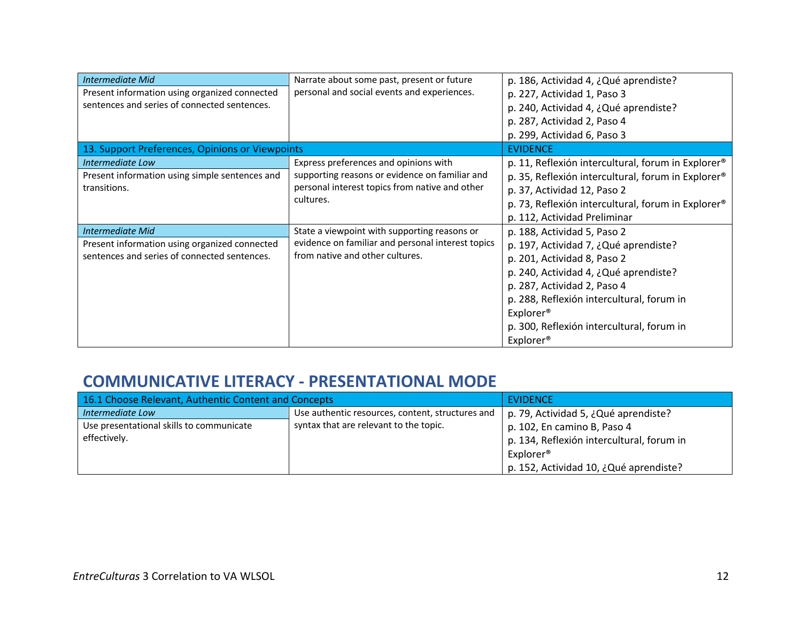| Intermediate Mid<br>Present information using organized connected<br>sentences and series of connected sentences. | Narrate about some past, present or future<br>personal and social events and experiences.                                                              | p. 186, Actividad 4, ¿Qué aprendiste?<br>p. 227, Actividad 1, Paso 3<br>p. 240, Actividad 4, ¿Qué aprendiste?<br>p. 287, Actividad 2, Paso 4<br>p. 299, Actividad 6, Paso 3                                                                                                              |
|-------------------------------------------------------------------------------------------------------------------|--------------------------------------------------------------------------------------------------------------------------------------------------------|------------------------------------------------------------------------------------------------------------------------------------------------------------------------------------------------------------------------------------------------------------------------------------------|
| 13. Support Preferences, Opinions or Viewpoints                                                                   |                                                                                                                                                        | <b>EVIDENCE</b>                                                                                                                                                                                                                                                                          |
| Intermediate Low<br>Present information using simple sentences and<br>transitions.                                | Express preferences and opinions with<br>supporting reasons or evidence on familiar and<br>personal interest topics from native and other<br>cultures. | p. 11, Reflexión intercultural, forum in Explorer®<br>p. 35, Reflexión intercultural, forum in Explorer®<br>p. 37, Actividad 12, Paso 2<br>p. 73, Reflexión intercultural, forum in Explorer®<br>p. 112, Actividad Preliminar                                                            |
| Intermediate Mid                                                                                                  | State a viewpoint with supporting reasons or                                                                                                           | p. 188, Actividad 5, Paso 2                                                                                                                                                                                                                                                              |
| Present information using organized connected<br>sentences and series of connected sentences.                     | evidence on familiar and personal interest topics<br>from native and other cultures.                                                                   | p. 197, Actividad 7, ¿Qué aprendiste?<br>p. 201, Actividad 8, Paso 2<br>p. 240, Actividad 4, ¿Qué aprendiste?<br>p. 287, Actividad 2, Paso 4<br>p. 288, Reflexión intercultural, forum in<br>Explorer <sup>®</sup><br>p. 300, Reflexión intercultural, forum in<br>Explorer <sup>®</sup> |

### **COMMUNICATIVE LITERACY - PRESENTATIONAL MODE**

| 16.1 Choose Relevant, Authentic Content and Concepts     |                                                  | EVIDENCE                                               |
|----------------------------------------------------------|--------------------------------------------------|--------------------------------------------------------|
| Intermediate Low                                         | Use authentic resources, content, structures and | p. 79, Actividad 5, ¿Qué aprendiste?                   |
| Use presentational skills to communicate<br>effectively. | syntax that are relevant to the topic.           | $\vert$ p. 102, En camino B, Paso 4                    |
|                                                          |                                                  | p. 134, Reflexión intercultural, forum in<br>Explorer® |
|                                                          |                                                  | p. 152, Actividad 10, ¿Qué aprendiste?                 |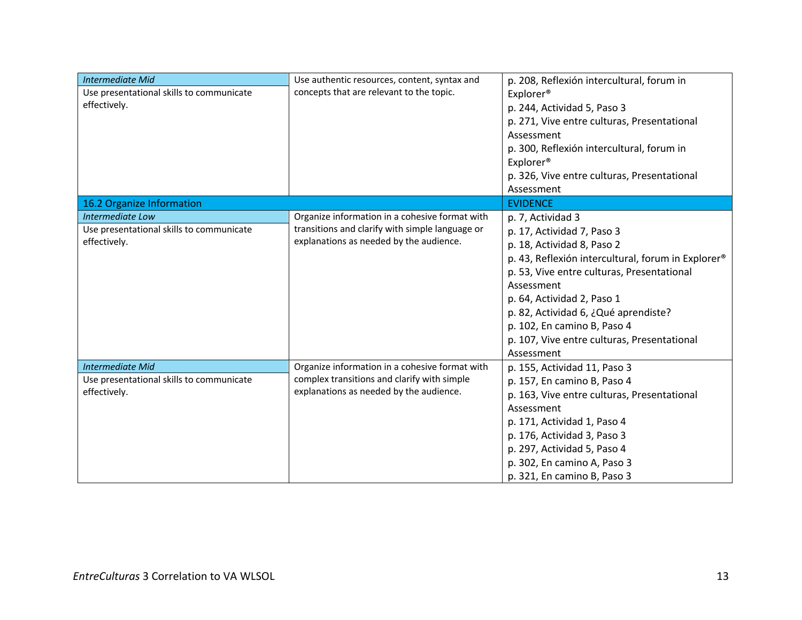| <b>Intermediate Mid</b><br>Use presentational skills to communicate<br>effectively. | Use authentic resources, content, syntax and<br>concepts that are relevant to the topic.                                                     | p. 208, Reflexión intercultural, forum in<br>Explorer <sup>®</sup><br>p. 244, Actividad 5, Paso 3<br>p. 271, Vive entre culturas, Presentational<br>Assessment<br>p. 300, Reflexión intercultural, forum in<br>Explorer <sup>®</sup><br>p. 326, Vive entre culturas, Presentational<br>Assessment                                                                 |
|-------------------------------------------------------------------------------------|----------------------------------------------------------------------------------------------------------------------------------------------|-------------------------------------------------------------------------------------------------------------------------------------------------------------------------------------------------------------------------------------------------------------------------------------------------------------------------------------------------------------------|
| 16.2 Organize Information                                                           |                                                                                                                                              | <b>EVIDENCE</b>                                                                                                                                                                                                                                                                                                                                                   |
| Intermediate Low<br>Use presentational skills to communicate<br>effectively.        | Organize information in a cohesive format with<br>transitions and clarify with simple language or<br>explanations as needed by the audience. | p. 7, Actividad 3<br>p. 17, Actividad 7, Paso 3<br>p. 18, Actividad 8, Paso 2<br>p. 43, Reflexión intercultural, forum in Explorer®<br>p. 53, Vive entre culturas, Presentational<br>Assessment<br>p. 64, Actividad 2, Paso 1<br>p. 82, Actividad 6, ¿Qué aprendiste?<br>p. 102, En camino B, Paso 4<br>p. 107, Vive entre culturas, Presentational<br>Assessment |
| <b>Intermediate Mid</b><br>Use presentational skills to communicate<br>effectively. | Organize information in a cohesive format with<br>complex transitions and clarify with simple<br>explanations as needed by the audience.     | p. 155, Actividad 11, Paso 3<br>p. 157, En camino B, Paso 4<br>p. 163, Vive entre culturas, Presentational<br>Assessment<br>p. 171, Actividad 1, Paso 4<br>p. 176, Actividad 3, Paso 3<br>p. 297, Actividad 5, Paso 4<br>p. 302, En camino A, Paso 3<br>p. 321, En camino B, Paso 3                                                                               |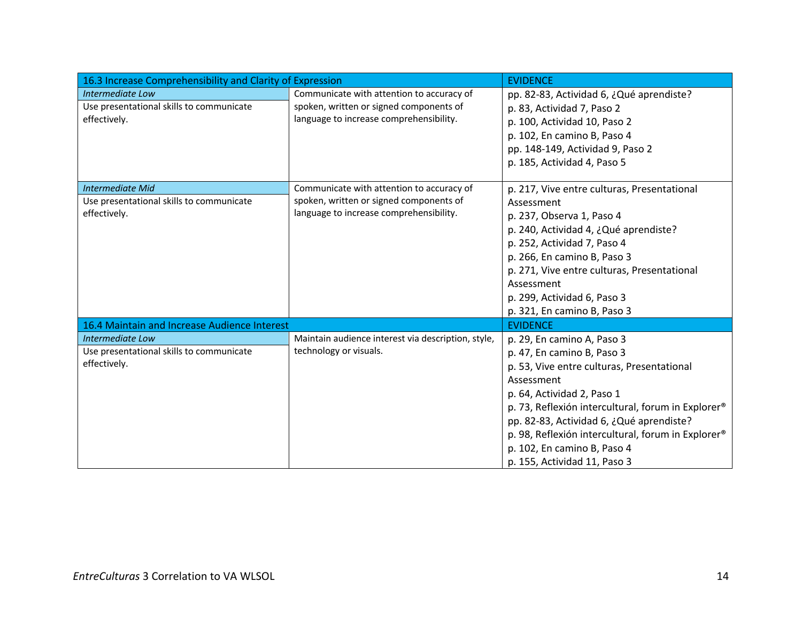| 16.3 Increase Comprehensibility and Clarity of Expression                           |                                                                                                                                 | <b>EVIDENCE</b>                                                                                                                                                                                                                                                                                                                                                                       |
|-------------------------------------------------------------------------------------|---------------------------------------------------------------------------------------------------------------------------------|---------------------------------------------------------------------------------------------------------------------------------------------------------------------------------------------------------------------------------------------------------------------------------------------------------------------------------------------------------------------------------------|
| Intermediate Low<br>Use presentational skills to communicate<br>effectively.        | Communicate with attention to accuracy of<br>spoken, written or signed components of<br>language to increase comprehensibility. | pp. 82-83, Actividad 6, ¿Qué aprendiste?<br>p. 83, Actividad 7, Paso 2<br>p. 100, Actividad 10, Paso 2<br>p. 102, En camino B, Paso 4<br>pp. 148-149, Actividad 9, Paso 2<br>p. 185, Actividad 4, Paso 5                                                                                                                                                                              |
| <b>Intermediate Mid</b><br>Use presentational skills to communicate<br>effectively. | Communicate with attention to accuracy of<br>spoken, written or signed components of<br>language to increase comprehensibility. | p. 217, Vive entre culturas, Presentational<br>Assessment<br>p. 237, Observa 1, Paso 4<br>p. 240, Actividad 4, ¿Qué aprendiste?<br>p. 252, Actividad 7, Paso 4<br>p. 266, En camino B, Paso 3<br>p. 271, Vive entre culturas, Presentational<br>Assessment<br>p. 299, Actividad 6, Paso 3<br>p. 321, En camino B, Paso 3                                                              |
| 16.4 Maintain and Increase Audience Interest                                        |                                                                                                                                 | <b>EVIDENCE</b>                                                                                                                                                                                                                                                                                                                                                                       |
| Intermediate Low<br>Use presentational skills to communicate<br>effectively.        | Maintain audience interest via description, style,<br>technology or visuals.                                                    | p. 29, En camino A, Paso 3<br>p. 47, En camino B, Paso 3<br>p. 53, Vive entre culturas, Presentational<br>Assessment<br>p. 64, Actividad 2, Paso 1<br>p. 73, Reflexión intercultural, forum in Explorer <sup>®</sup><br>pp. 82-83, Actividad 6, ¿Qué aprendiste?<br>p. 98, Reflexión intercultural, forum in Explorer®<br>p. 102, En camino B, Paso 4<br>p. 155, Actividad 11, Paso 3 |